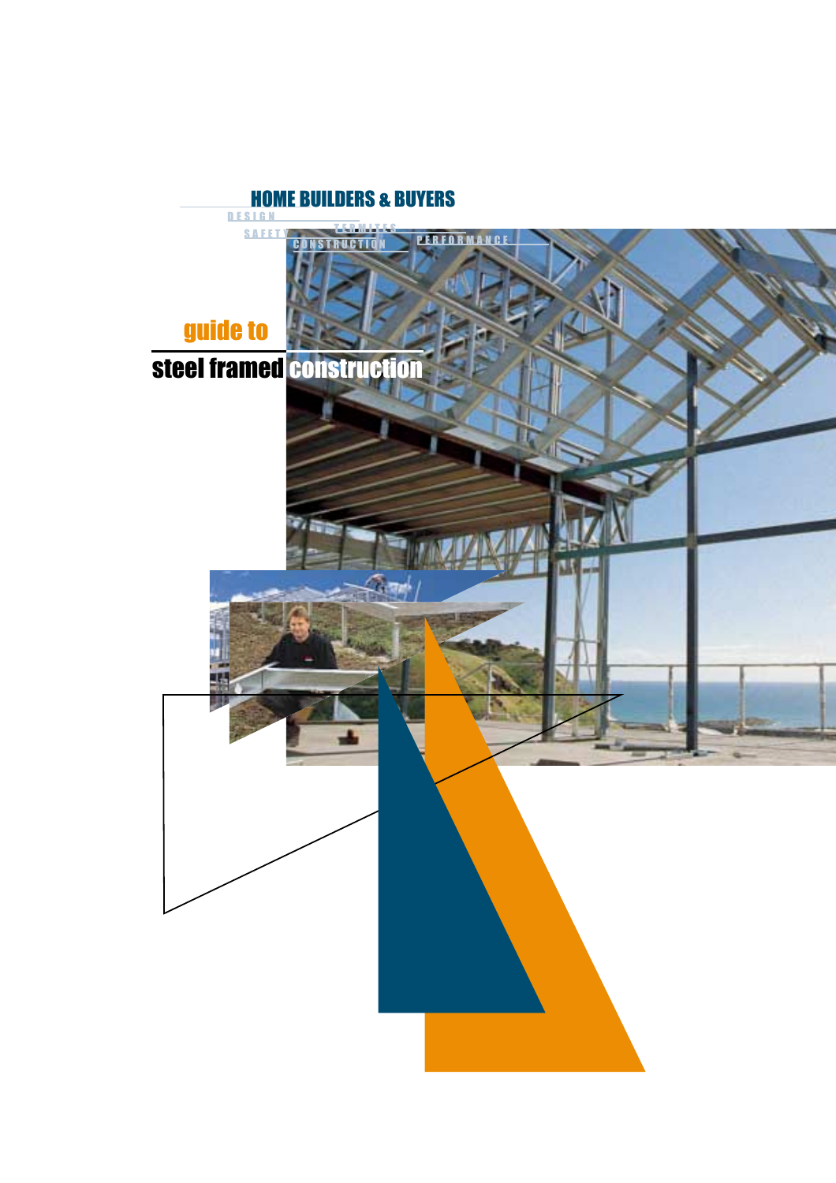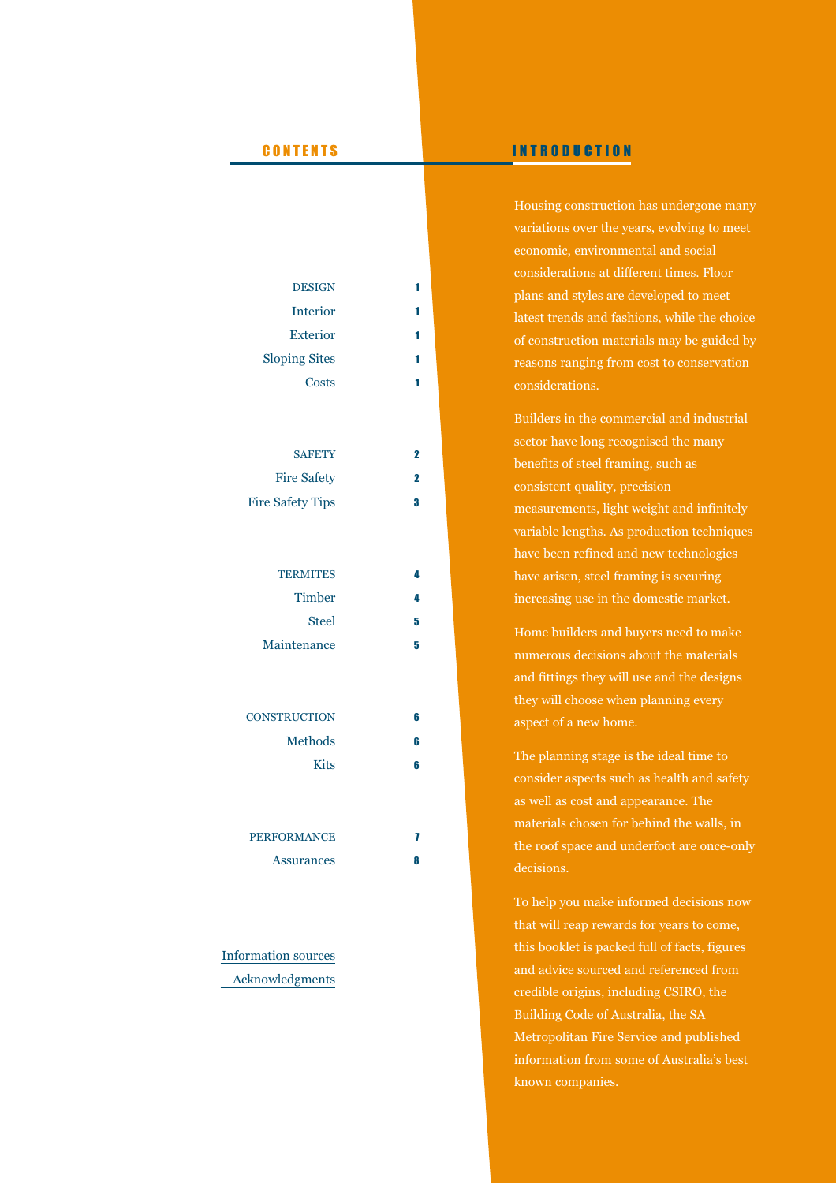# DESIGN Interior Exterior Sloping Sites **Costs SAFETY** Fire Safety Fire Safety Tips **TERMITES Timber** Steel Maintenance **CONSTRUCTION** Methods Kits 2 2 3 4 4 5 5 6 6 6

# PERFORMANCE Assurances

7 8

Information sources Acknowledgments

# CONTENTS INTRODUCTION

Housing construction has undergone many variations over the years, evolving to meet economic, environmental and social considerations at different times. Floor plans and styles are developed to meet latest trends and fashions, while the choice of construction materials may be guided by reasons ranging from cost to conservation considerations.

Builders in the commercial and industrial sector have long recognised the many benefits of steel framing, such as consistent quality, precision measurements, light weight and infinitely variable lengths. As production techniques have been refined and new technologies have arisen, steel framing is securing increasing use in the domestic market.

Home builders and buyers need to make numerous decisions about the materials and fittings they will use and the designs they will choose when planning every aspect of a new home.

The planning stage is the ideal time to consider aspects such as health and safety as well as cost and appearance. The materials chosen for behind the walls, in the roof space and underfoot are once-only decisions.

To help you make informed decisions now that will reap rewards for years to come, this booklet is packed full of facts, figures and advice sourced and referenced from credible origins, including CSIRO, the Building Code of Australia, the SA Metropolitan Fire Service and published information from some of Australia's best known companies.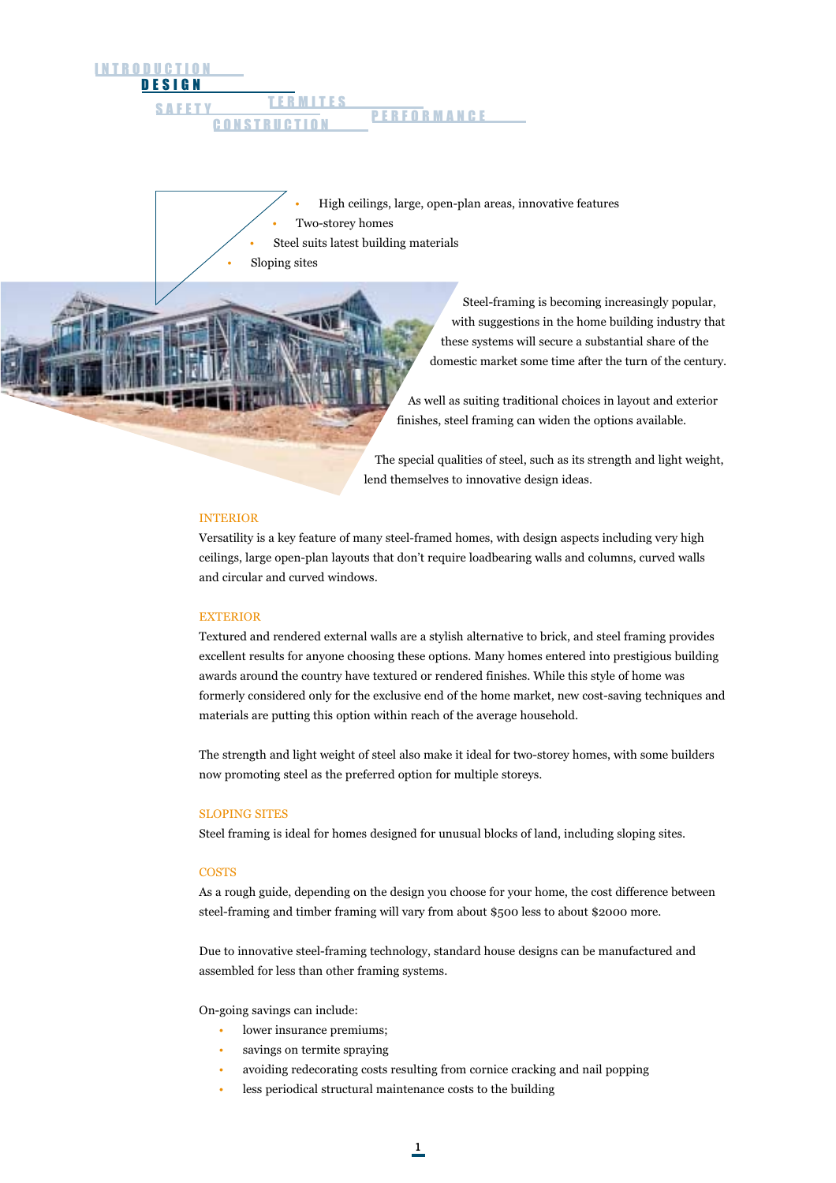## <u>DESIGN</u> **INTRODUCTION** TERMITES SAFETY LEDWILLED PERFORMANCE **CONSTRUCTIO**

- High ceilings, large, open-plan areas, innovative features Two-storey homes
- Steel suits latest building materials

• Sloping sites

Steel-framing is becoming increasingly popular, with suggestions in the home building industry that these systems will secure a substantial share of the domestic market some time after the turn of the century.

As well as suiting traditional choices in layout and exterior finishes, steel framing can widen the options available.

The special qualities of steel, such as its strength and light weight, lend themselves to innovative design ideas.

## INTERIOR

Versatility is a key feature of many steel-framed homes, with design aspects including very high ceilings, large open-plan layouts that don't require loadbearing walls and columns, curved walls and circular and curved windows.

#### EXTERIOR

Textured and rendered external walls are a stylish alternative to brick, and steel framing provides excellent results for anyone choosing these options. Many homes entered into prestigious building awards around the country have textured or rendered finishes. While this style of home was formerly considered only for the exclusive end of the home market, new cost-saving techniques and materials are putting this option within reach of the average household.

The strength and light weight of steel also make it ideal for two-storey homes, with some builders now promoting steel as the preferred option for multiple storeys.

#### SLOPING SITES

Steel framing is ideal for homes designed for unusual blocks of land, including sloping sites.

#### **COSTS**

As a rough guide, depending on the design you choose for your home, the cost difference between steel-framing and timber framing will vary from about \$500 less to about \$2000 more.

Due to innovative steel-framing technology, standard house designs can be manufactured and assembled for less than other framing systems.

On-going savings can include:

- lower insurance premiums;
- savings on termite spraying
- avoiding redecorating costs resulting from cornice cracking and nail popping
- less periodical structural maintenance costs to the building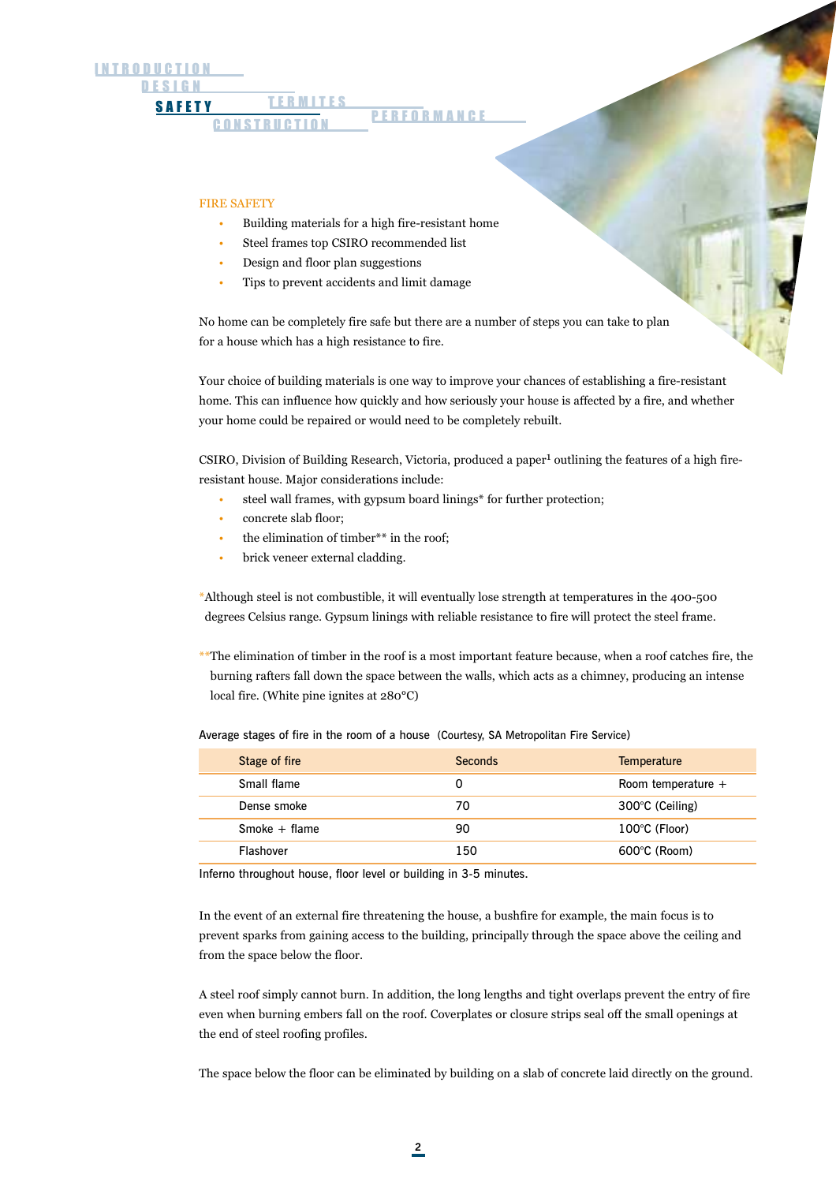#### TERMITES SAFETY LEKMILLS PERFORMANCE **CONSTRUCTION**

#### FIRE SAFETY

- Building materials for a high fire-resistant home
- Steel frames top CSIRO recommended list
- Design and floor plan suggestions
- Tips to prevent accidents and limit damage

No home can be completely fire safe but there are a number of steps you can take to plan for a house which has a high resistance to fire.

Your choice of building materials is one way to improve your chances of establishing a fire-resistant home. This can influence how quickly and how seriously your house is affected by a fire, and whether your home could be repaired or would need to be completely rebuilt.

CSIRO, Division of Building Research, Victoria, produced a paper<sup>1</sup> outlining the features of a high fireresistant house. Major considerations include:

- steel wall frames, with gypsum board linings\* for further protection;
- concrete slab floor;
- the elimination of timber\*\* in the roof;
- brick veneer external cladding.

\*Although steel is not combustible, it will eventually lose strength at temperatures in the 400-500 degrees Celsius range. Gypsum linings with reliable resistance to fire will protect the steel frame.

\*\*The elimination of timber in the roof is a most important feature because, when a roof catches fire, the burning rafters fall down the space between the walls, which acts as a chimney, producing an intense local fire. (White pine ignites at 280°C)

Average stages of fire in the room of a house (Courtesy, SA Metropolitan Fire Service)

| Stage of fire   | Seconds | <b>Temperature</b>     |
|-----------------|---------|------------------------|
| Small flame     | 0       | Room temperature $+$   |
| Dense smoke     | 70      | 300°C (Ceiling)        |
| Smoke $+$ flame | 90      | 100°C (Floor)          |
| Flashover       | 150     | $600^{\circ}$ C (Room) |

Inferno throughout house, floor level or building in 3-5 minutes.

In the event of an external fire threatening the house, a bushfire for example, the main focus is to prevent sparks from gaining access to the building, principally through the space above the ceiling and from the space below the floor.

A steel roof simply cannot burn. In addition, the long lengths and tight overlaps prevent the entry of fire even when burning embers fall on the roof. Coverplates or closure strips seal off the small openings at the end of steel roofing profiles.

The space below the floor can be eliminated by building on a slab of concrete laid directly on the ground.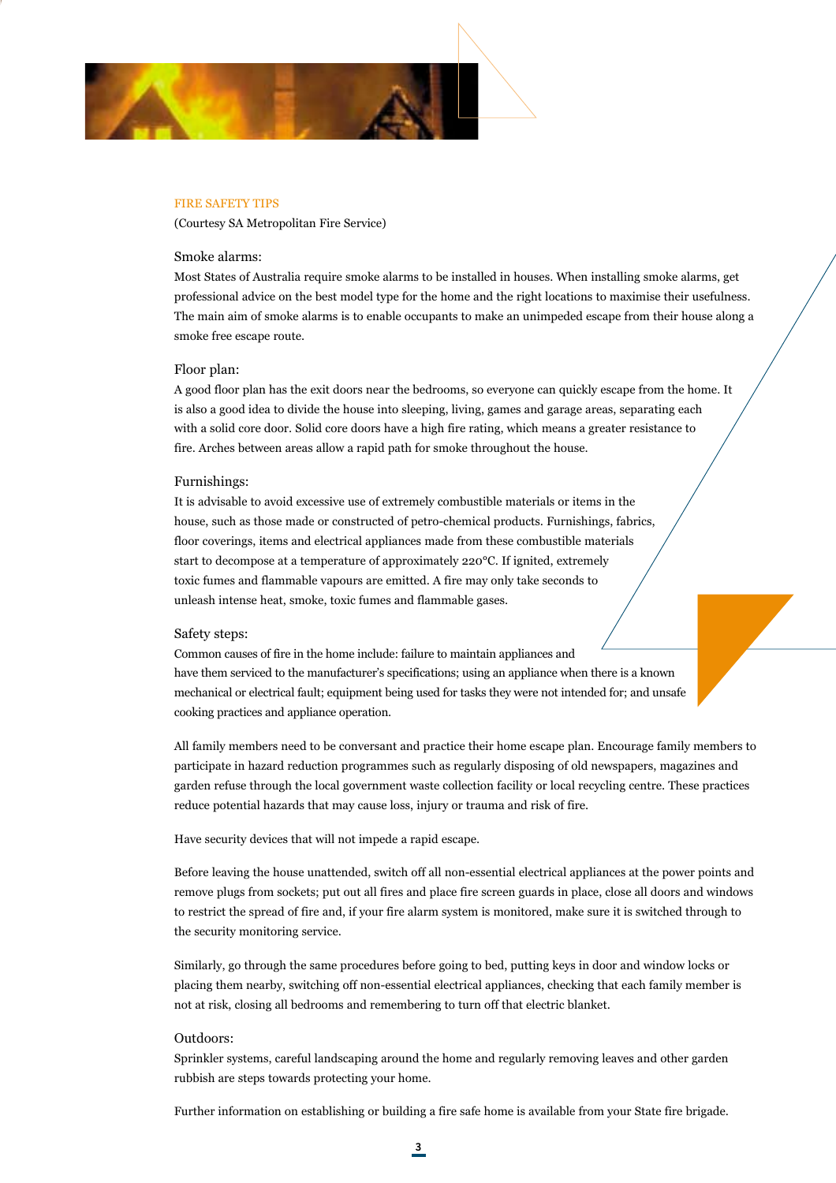

#### FIRE SAFETY TIPS

(Courtesy SA Metropolitan Fire Service)

## Smoke alarms:

Most States of Australia require smoke alarms to be installed in houses. When installing smoke alarms, get professional advice on the best model type for the home and the right locations to maximise their usefulness. The main aim of smoke alarms is to enable occupants to make an unimpeded escape from their house along a smoke free escape route.

## Floor plan:

A good floor plan has the exit doors near the bedrooms, so everyone can quickly escape from the home. It is also a good idea to divide the house into sleeping, living, games and garage areas, separating each with a solid core door. Solid core doors have a high fire rating, which means a greater resistance to fire. Arches between areas allow a rapid path for smoke throughout the house.

#### Furnishings:

It is advisable to avoid excessive use of extremely combustible materials or items in the house, such as those made or constructed of petro-chemical products. Furnishings, fabrics, floor coverings, items and electrical appliances made from these combustible materials start to decompose at a temperature of approximately 220°C. If ignited, extremely toxic fumes and flammable vapours are emitted. A fire may only take seconds to unleash intense heat, smoke, toxic fumes and flammable gases.

#### Safety steps:

Common causes of fire in the home include: failure to maintain appliances and have them serviced to the manufacturer's specifications; using an appliance when there is a known mechanical or electrical fault; equipment being used for tasks they were not intended for; and unsafe cooking practices and appliance operation.

All family members need to be conversant and practice their home escape plan. Encourage family members to participate in hazard reduction programmes such as regularly disposing of old newspapers, magazines and garden refuse through the local government waste collection facility or local recycling centre. These practices reduce potential hazards that may cause loss, injury or trauma and risk of fire.

Have security devices that will not impede a rapid escape.

Before leaving the house unattended, switch off all non-essential electrical appliances at the power points and remove plugs from sockets; put out all fires and place fire screen guards in place, close all doors and windows to restrict the spread of fire and, if your fire alarm system is monitored, make sure it is switched through to the security monitoring service.

Similarly, go through the same procedures before going to bed, putting keys in door and window locks or placing them nearby, switching off non-essential electrical appliances, checking that each family member is not at risk, closing all bedrooms and remembering to turn off that electric blanket.

## Outdoors:

Sprinkler systems, careful landscaping around the home and regularly removing leaves and other garden rubbish are steps towards protecting your home.

Further information on establishing or building a fire safe home is available from your State fire brigade.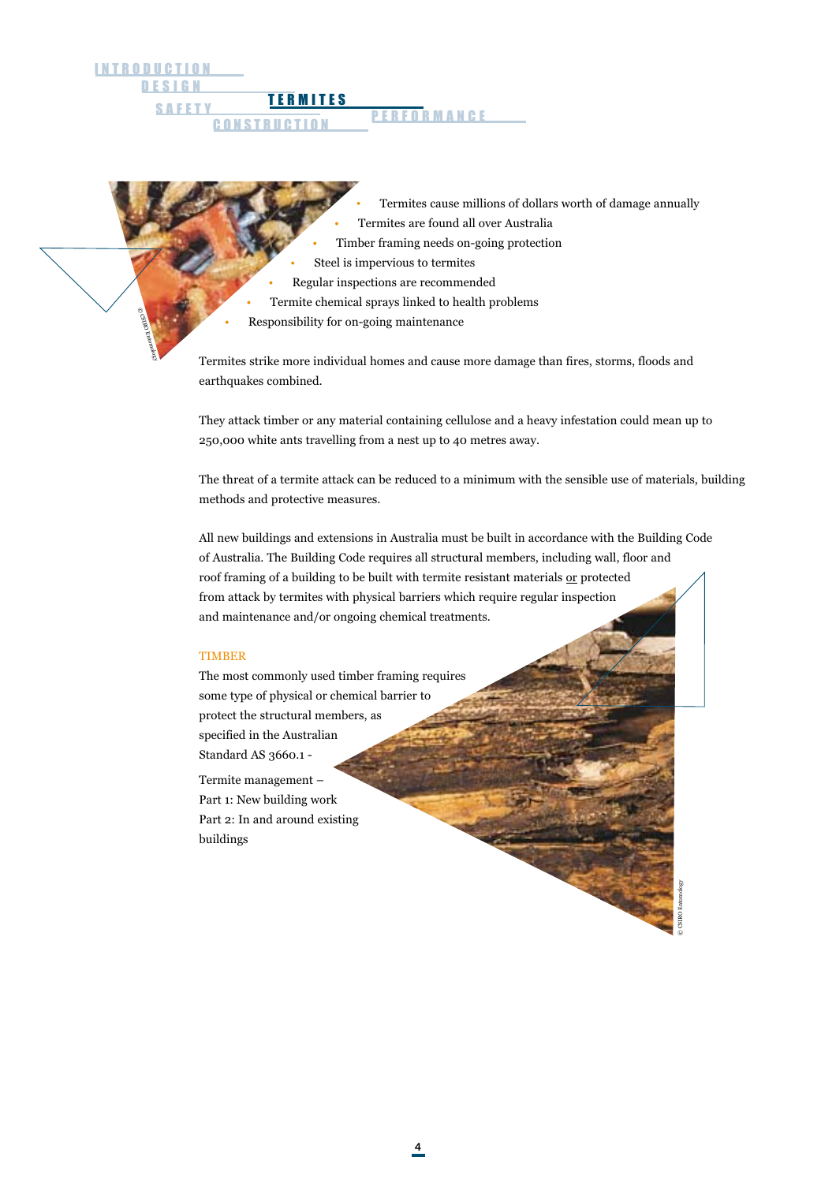**DESIGN** INTRODUCTION

> © CSIRO Entomology

- Termites cause millions of dollars worth of damage annually • Termites are found all over Australia
- Timber framing needs on-going protection
- Steel is impervious to termites
- Regular inspections are recommended
- Termite chemical sprays linked to health problems
- Responsibility for on-going maintenance

TERMITES SAFETY **ILLIMITLS** PERFORMANCE

**CONSTRUCTION** 

Termites strike more individual homes and cause more damage than fires, storms, floods and earthquakes combined.

They attack timber or any material containing cellulose and a heavy infestation could mean up to 250,000 white ants travelling from a nest up to 40 metres away.

The threat of a termite attack can be reduced to a minimum with the sensible use of materials, building methods and protective measures.

All new buildings and extensions in Australia must be built in accordance with the Building Code of Australia. The Building Code requires all structural members, including wall, floor and roof framing of a building to be built with termite resistant materials or protected from attack by termites with physical barriers which require regular inspection and maintenance and/or ongoing chemical treatments.

## **TIMBER**

The most commonly used timber framing requires some type of physical or chemical barrier to protect the structural members, as specified in the Australian Standard AS 3660.1 -

Termite management – Part 1: New building work Part 2: In and around existing buildings

© CSIRO Entomology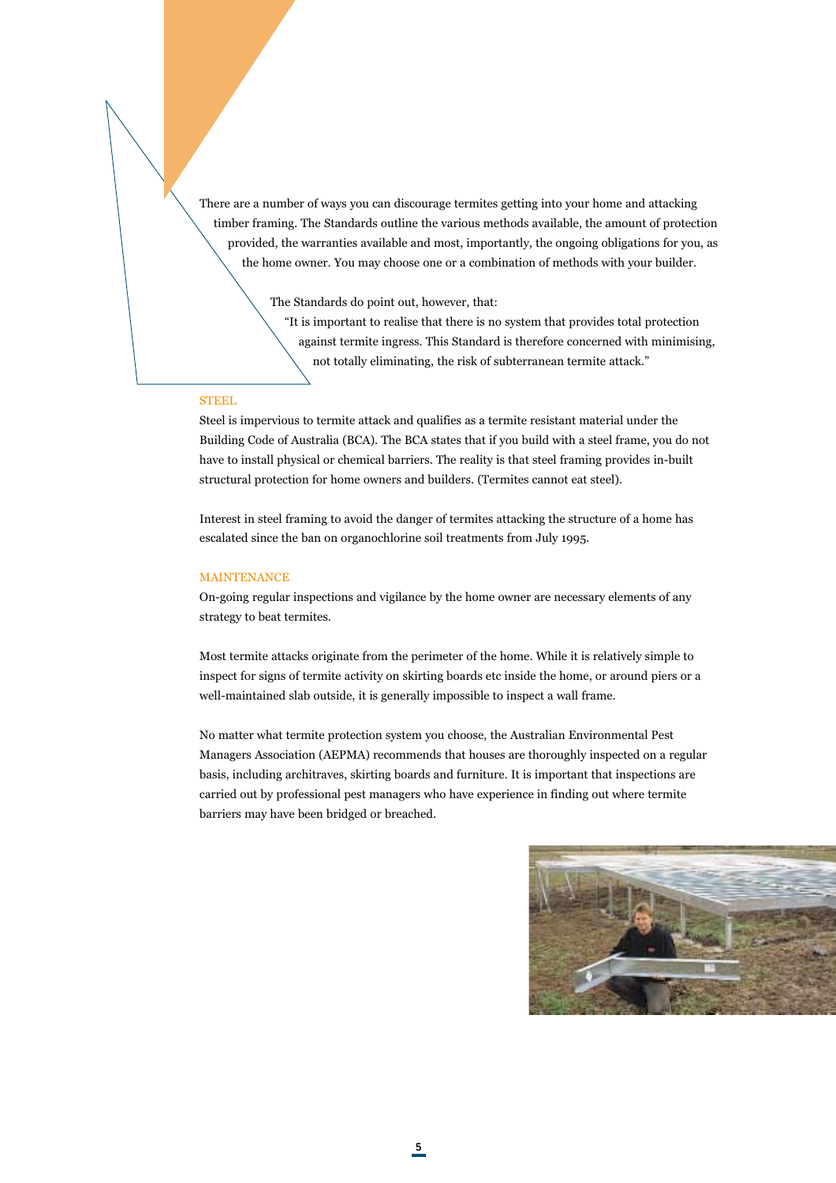There are a number of ways you can discourage termites getting into your home and attacking timber framing. The Standards outline the various methods available, the amount of protection provided, the warranties available and most, importantly, the ongoing obligations for you, as the home owner. You may choose one or a combination of methods with your builder.

The Standards do point out, however, that:

"It is important to realise that there is no system that provides total protection against termite ingress. This Standard is therefore concerned with minimising, not totally eliminating, the risk of subterranean termite attack."

#### **STEEL**

Steel is impervious to termite attack and qualifies as a termite resistant material under the Building Code of Australia (BCA). The BCA states that if you build with a steel frame, you do not have to install physical or chemical barriers. The reality is that steel framing provides in-built structural protection for home owners and builders. (Termites cannot eat steel).

Interest in steel framing to avoid the danger of termites attacking the structure of a home has escalated since the ban on organochlorine soil treatments from July 1995.

## MAINTENANCE

On-going regular inspections and vigilance by the home owner are necessary elements of any strategy to beat termites.

Most termite attacks originate from the perimeter of the home. While it is relatively simple to inspect for signs of termite activity on skirting boards etc inside the home, or around piers or a well-maintained slab outside, it is generally impossible to inspect a wall frame.

No matter what termite protection system you choose, the Australian Environmental Pest Managers Association (AEPMA) recommends that houses are thoroughly inspected on a regular basis, including architraves, skirting boards and furniture. It is important that inspections are carried out by professional pest managers who have experience in finding out where termite barriers may have been bridged or breached.

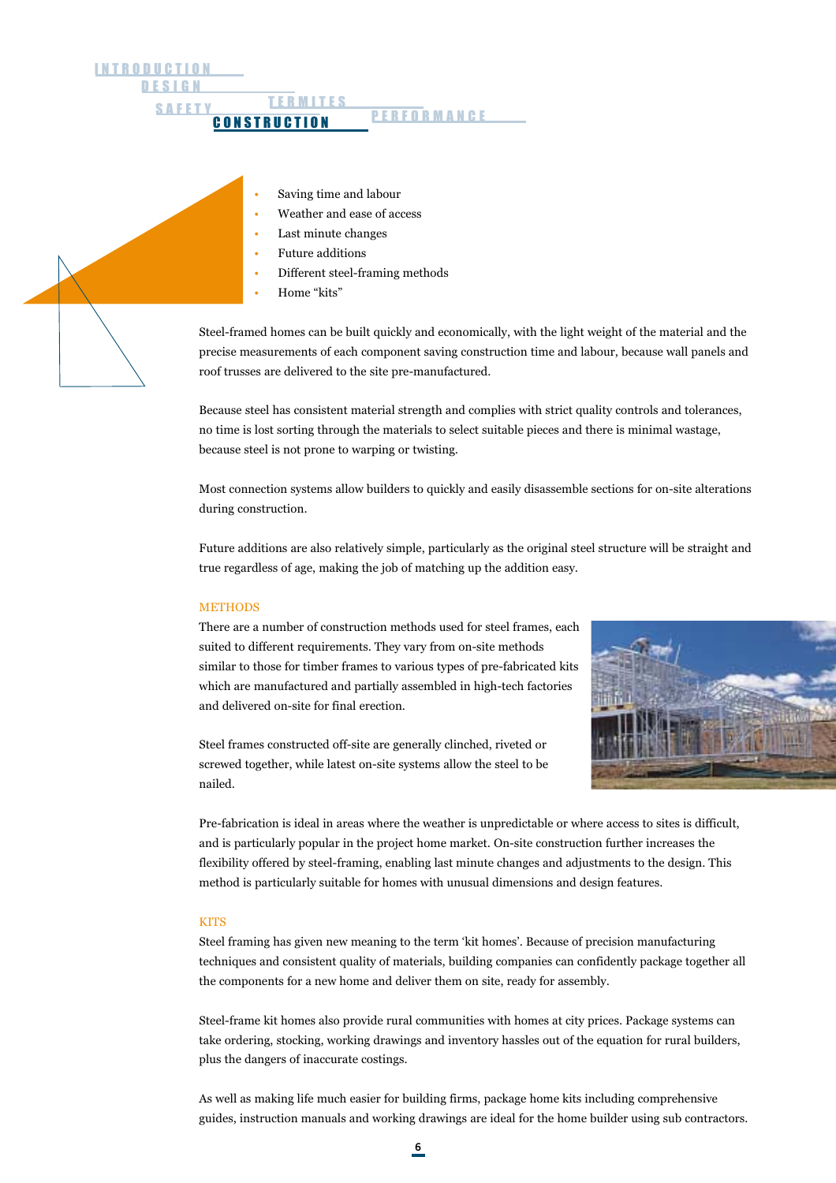**DESIGN INTRODUCTION** TERMITES SAFETY LEBWILES PERFORMANCE **CONSTRUCTION** 

- Saving time and labour
- Weather and ease of access
- Last minute changes
- Future additions
- Different steel-framing methods
- Home "kits"

Steel-framed homes can be built quickly and economically, with the light weight of the material and the precise measurements of each component saving construction time and labour, because wall panels and roof trusses are delivered to the site pre-manufactured.

Because steel has consistent material strength and complies with strict quality controls and tolerances, no time is lost sorting through the materials to select suitable pieces and there is minimal wastage, because steel is not prone to warping or twisting.

Most connection systems allow builders to quickly and easily disassemble sections for on-site alterations during construction.

Future additions are also relatively simple, particularly as the original steel structure will be straight and true regardless of age, making the job of matching up the addition easy.

## METHODS

There are a number of construction methods used for steel frames, each suited to different requirements. They vary from on-site methods similar to those for timber frames to various types of pre-fabricated kits which are manufactured and partially assembled in high-tech factories and delivered on-site for final erection.



Steel frames constructed off-site are generally clinched, riveted or screwed together, while latest on-site systems allow the steel to be nailed.

Pre-fabrication is ideal in areas where the weather is unpredictable or where access to sites is difficult, and is particularly popular in the project home market. On-site construction further increases the flexibility offered by steel-framing, enabling last minute changes and adjustments to the design. This method is particularly suitable for homes with unusual dimensions and design features.

#### **KITS**

Steel framing has given new meaning to the term 'kit homes'. Because of precision manufacturing techniques and consistent quality of materials, building companies can confidently package together all the components for a new home and deliver them on site, ready for assembly.

Steel-frame kit homes also provide rural communities with homes at city prices. Package systems can take ordering, stocking, working drawings and inventory hassles out of the equation for rural builders, plus the dangers of inaccurate costings.

As well as making life much easier for building firms, package home kits including comprehensive guides, instruction manuals and working drawings are ideal for the home builder using sub contractors.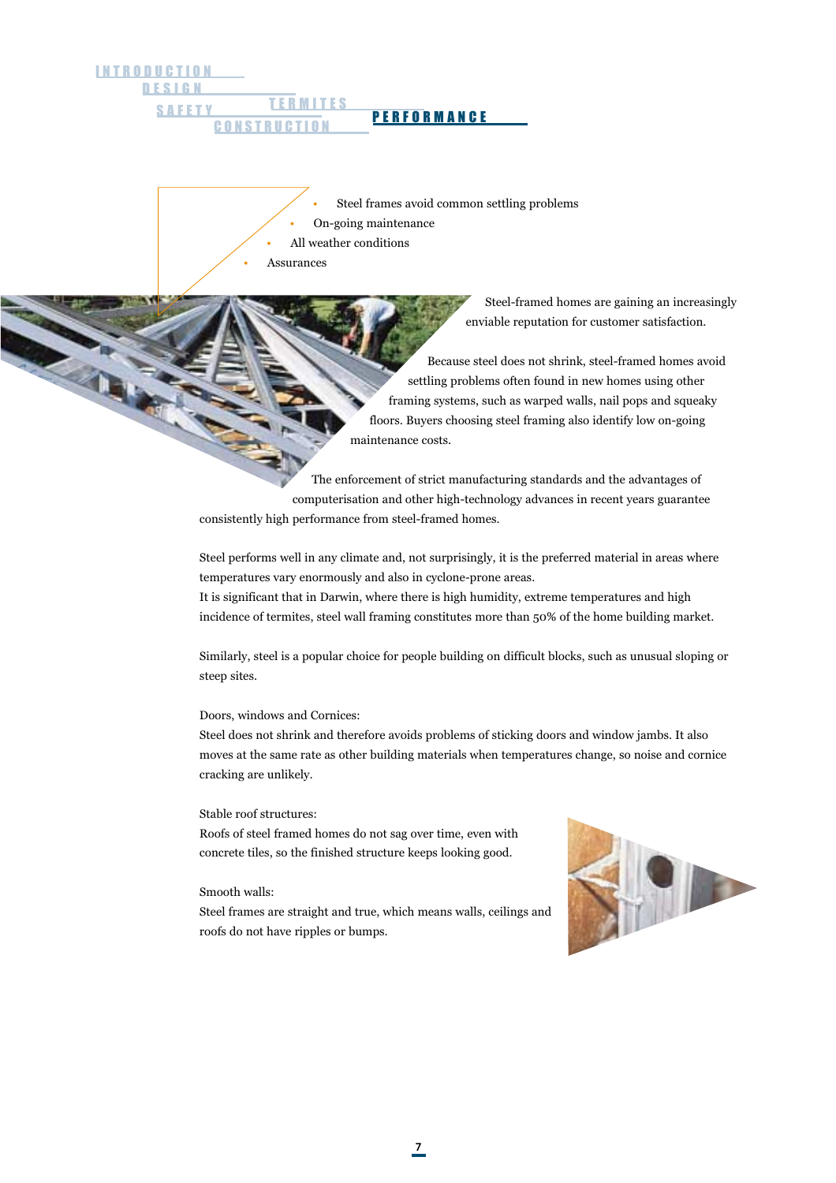DESIGN INTRODUCTION TERMITES SAFETY LEBWILLS PERFORMANCE **CONSTRUCTION** 

> Steel frames avoid common settling problems • On-going maintenance All weather conditions **Assurances**

> > Steel-framed homes are gaining an increasingly enviable reputation for customer satisfaction.

Because steel does not shrink, steel-framed homes avoid settling problems often found in new homes using other framing systems, such as warped walls, nail pops and squeaky floors. Buyers choosing steel framing also identify low on-going maintenance costs.

The enforcement of strict manufacturing standards and the advantages of computerisation and other high-technology advances in recent years guarantee consistently high performance from steel-framed homes.

Steel performs well in any climate and, not surprisingly, it is the preferred material in areas where temperatures vary enormously and also in cyclone-prone areas.

It is significant that in Darwin, where there is high humidity, extreme temperatures and high incidence of termites, steel wall framing constitutes more than 50% of the home building market.

Similarly, steel is a popular choice for people building on difficult blocks, such as unusual sloping or steep sites.

Doors, windows and Cornices:

Steel does not shrink and therefore avoids problems of sticking doors and window jambs. It also moves at the same rate as other building materials when temperatures change, so noise and cornice cracking are unlikely.

#### Stable roof structures:

Roofs of steel framed homes do not sag over time, even with concrete tiles, so the finished structure keeps looking good.

## Smooth walls:

Steel frames are straight and true, which means walls, ceilings and roofs do not have ripples or bumps.

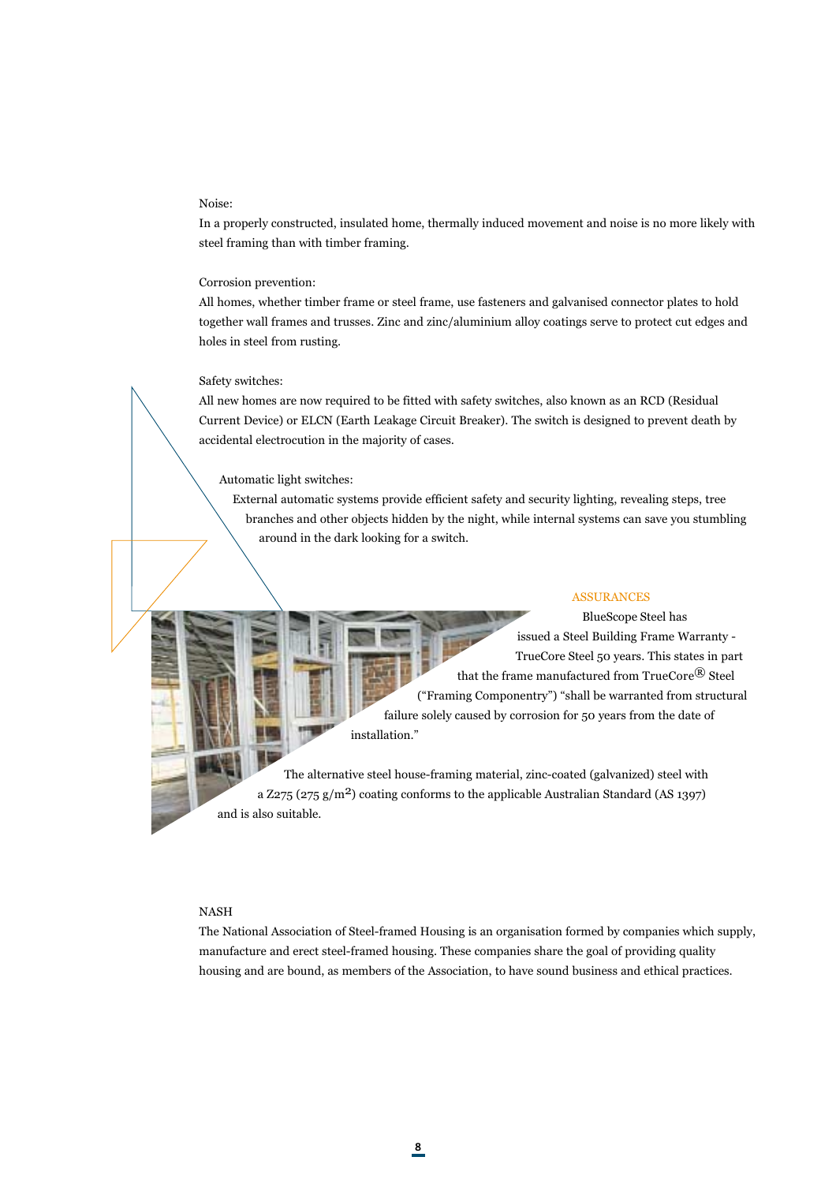#### Noise:

In a properly constructed, insulated home, thermally induced movement and noise is no more likely with steel framing than with timber framing.

#### Corrosion prevention:

All homes, whether timber frame or steel frame, use fasteners and galvanised connector plates to hold together wall frames and trusses. Zinc and zinc/aluminium alloy coatings serve to protect cut edges and holes in steel from rusting.

#### Safety switches:

All new homes are now required to be fitted with safety switches, also known as an RCD (Residual Current Device) or ELCN (Earth Leakage Circuit Breaker). The switch is designed to prevent death by accidental electrocution in the majority of cases.

#### Automatic light switches:

External automatic systems provide efficient safety and security lighting, revealing steps, tree branches and other objects hidden by the night, while internal systems can save you stumbling around in the dark looking for a switch.

# ASSURANCES

 BlueScope Steel has issued a Steel Building Frame Warranty - TrueCore Steel 50 years. This states in part that the frame manufactured from TrueCore® Steel ("Framing Componentry") "shall be warranted from structural failure solely caused by corrosion for 50 years from the date of installation."

The alternative steel house-framing material, zinc-coated (galvanized) steel with a Z275 (275  $g/m^2$ ) coating conforms to the applicable Australian Standard (AS 1397) and is also suitable.

### NASH

The National Association of Steel-framed Housing is an organisation formed by companies which supply, manufacture and erect steel-framed housing. These companies share the goal of providing quality housing and are bound, as members of the Association, to have sound business and ethical practices.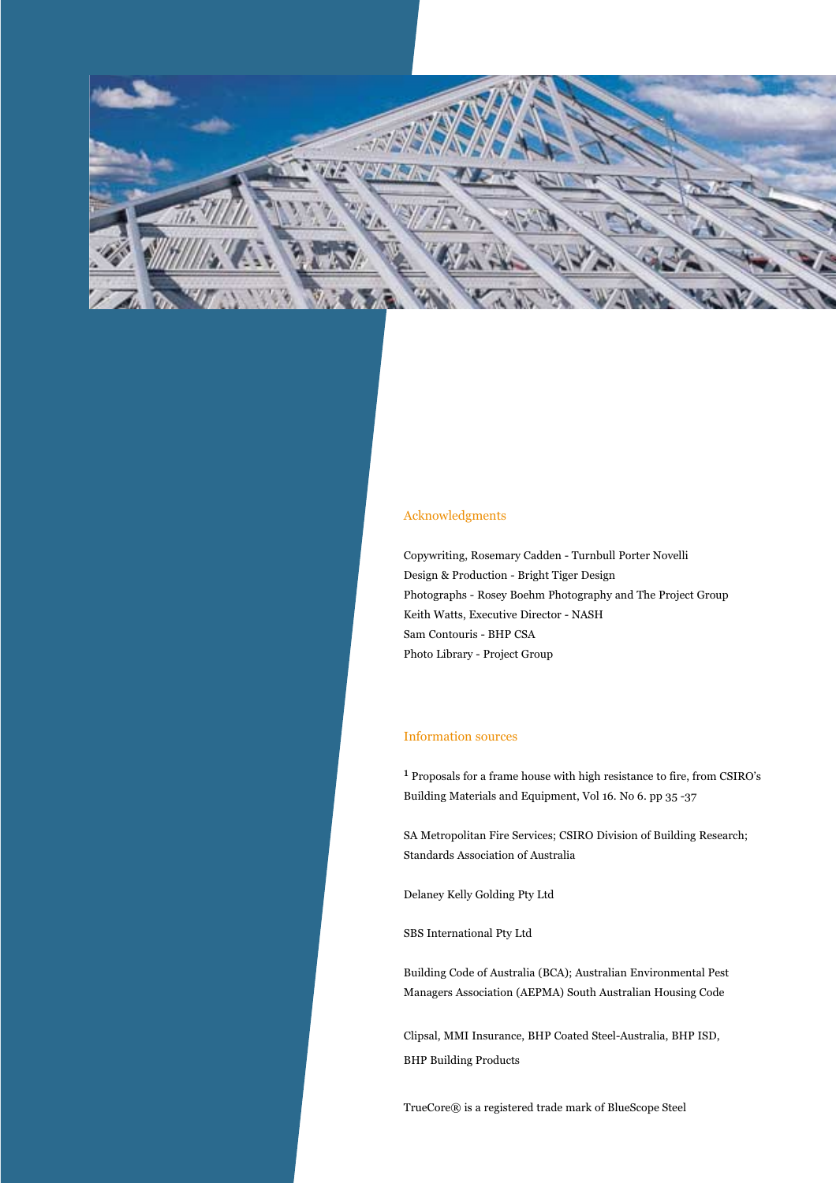

# Acknowledgments

Copywriting, Rosemary Cadden - Turnbull Porter Novelli Design & Production - Bright Tiger Design Photographs - Rosey Boehm Photography and The Project Group Keith Watts, Executive Director - NASH Sam Contouris - BHP CSA Photo Library - Project Group

# Information sources

1 Proposals for a frame house with high resistance to fire, from CSIRO's Building Materials and Equipment, Vol 16. No 6. pp 35 -37

SA Metropolitan Fire Services; CSIRO Division of Building Research; Standards Association of Australia

Delaney Kelly Golding Pty Ltd

SBS International Pty Ltd

Building Code of Australia (BCA); Australian Environmental Pest Managers Association (AEPMA) South Australian Housing Code

Clipsal, MMI Insurance, BHP Coated Steel-Australia, BHP ISD, BHP Building Products

TrueCore® is a registered trade mark of BlueScope Steel